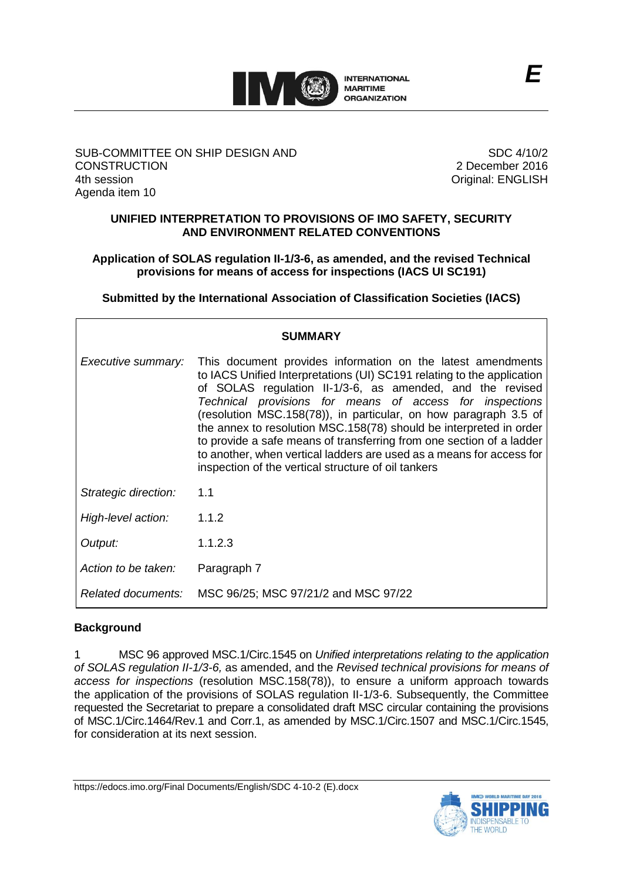

### SUB-COMMITTEE ON SHIP DESIGN AND **CONSTRUCTION** 4th session Agenda item 10

SDC 4/10/2 2 December 2016 Original: ENGLISH

## **UNIFIED INTERPRETATION TO PROVISIONS OF IMO SAFETY, SECURITY AND ENVIRONMENT RELATED CONVENTIONS**

## **Application of SOLAS regulation II-1/3-6, as amended, and the revised Technical provisions for means of access for inspections (IACS UI SC191)**

**Submitted by the International Association of Classification Societies (IACS)**

| <b>SUMMARY</b>       |                                                                                                                                                                                                                                                                                                                                                                                                                                                                                                                                                                                                                                           |
|----------------------|-------------------------------------------------------------------------------------------------------------------------------------------------------------------------------------------------------------------------------------------------------------------------------------------------------------------------------------------------------------------------------------------------------------------------------------------------------------------------------------------------------------------------------------------------------------------------------------------------------------------------------------------|
|                      | <i>Executive summary:</i> This document provides information on the latest amendments<br>to IACS Unified Interpretations (UI) SC191 relating to the application<br>of SOLAS regulation II-1/3-6, as amended, and the revised<br>Technical provisions for means of access for inspections<br>(resolution MSC.158(78)), in particular, on how paragraph 3.5 of<br>the annex to resolution MSC.158(78) should be interpreted in order<br>to provide a safe means of transferring from one section of a ladder<br>to another, when vertical ladders are used as a means for access for<br>inspection of the vertical structure of oil tankers |
| Strategic direction: | 1.1                                                                                                                                                                                                                                                                                                                                                                                                                                                                                                                                                                                                                                       |
| High-level action:   | 1.1.2                                                                                                                                                                                                                                                                                                                                                                                                                                                                                                                                                                                                                                     |
| Output:              | 1.1.2.3                                                                                                                                                                                                                                                                                                                                                                                                                                                                                                                                                                                                                                   |
| Action to be taken:  | Paragraph 7                                                                                                                                                                                                                                                                                                                                                                                                                                                                                                                                                                                                                               |
| Related documents:   | MSC 96/25; MSC 97/21/2 and MSC 97/22                                                                                                                                                                                                                                                                                                                                                                                                                                                                                                                                                                                                      |

# **Background**

1 MSC 96 approved MSC.1/Circ.1545 on *Unified interpretations relating to the application of SOLAS regulation II-1/3-6,* as amended, and the *Revised technical provisions for means of access for inspections* (resolution MSC.158(78)), to ensure a uniform approach towards the application of the provisions of SOLAS regulation II-1/3-6. Subsequently, the Committee requested the Secretariat to prepare a consolidated draft MSC circular containing the provisions of MSC.1/Circ.1464/Rev.1 and Corr.1, as amended by MSC.1/Circ.1507 and MSC.1/Circ.1545, for consideration at its next session.

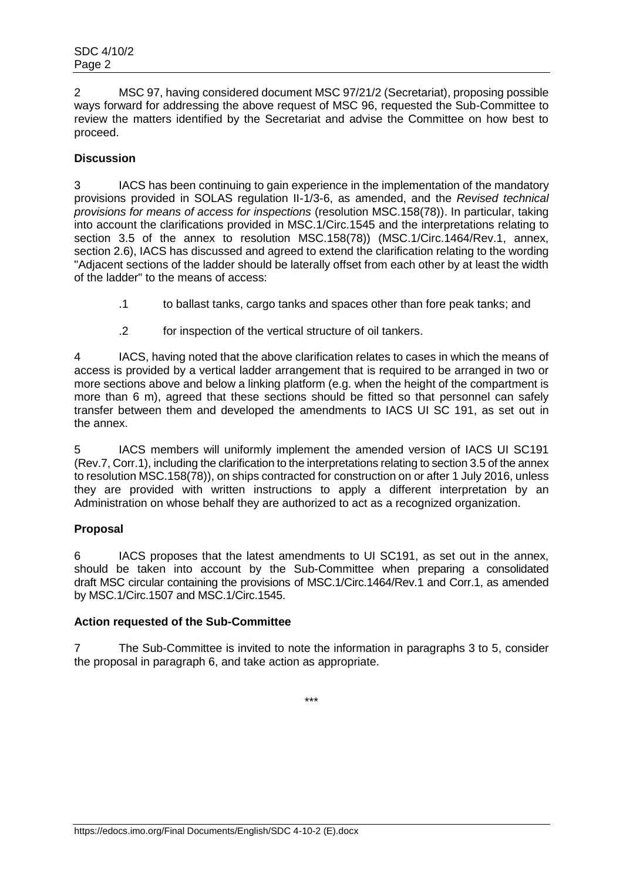2 MSC 97, having considered document MSC 97/21/2 (Secretariat), proposing possible ways forward for addressing the above request of MSC 96, requested the Sub-Committee to review the matters identified by the Secretariat and advise the Committee on how best to proceed.

# **Discussion**

3 IACS has been continuing to gain experience in the implementation of the mandatory provisions provided in SOLAS regulation II-1/3-6, as amended, and the *Revised technical provisions for means of access for inspections* (resolution MSC.158(78)). In particular, taking into account the clarifications provided in MSC.1/Circ.1545 and the interpretations relating to section 3.5 of the annex to resolution MSC.158(78)) (MSC.1/Circ.1464/Rev.1, annex, section 2.6), IACS has discussed and agreed to extend the clarification relating to the wording "Adjacent sections of the ladder should be laterally offset from each other by at least the width of the ladder" to the means of access:

- .1 to ballast tanks, cargo tanks and spaces other than fore peak tanks; and
- .2 for inspection of the vertical structure of oil tankers.

4 IACS, having noted that the above clarification relates to cases in which the means of access is provided by a vertical ladder arrangement that is required to be arranged in two or more sections above and below a linking platform (e.g. when the height of the compartment is more than 6 m), agreed that these sections should be fitted so that personnel can safely transfer between them and developed the amendments to IACS UI SC 191, as set out in the annex.

5 IACS members will uniformly implement the amended version of IACS UI SC191 (Rev.7, Corr.1), including the clarification to the interpretations relating to section 3.5 of the annex to resolution MSC.158(78)), on ships contracted for construction on or after 1 July 2016, unless they are provided with written instructions to apply a different interpretation by an Administration on whose behalf they are authorized to act as a recognized organization.

### **Proposal**

6 IACS proposes that the latest amendments to UI SC191, as set out in the annex, should be taken into account by the Sub-Committee when preparing a consolidated draft MSC circular containing the provisions of MSC.1/Circ.1464/Rev.1 and Corr.1, as amended by MSC.1/Circ.1507 and MSC.1/Circ.1545.

### **Action requested of the Sub-Committee**

7 The Sub-Committee is invited to note the information in paragraphs 3 to 5, consider the proposal in paragraph 6, and take action as appropriate.

\*\*\*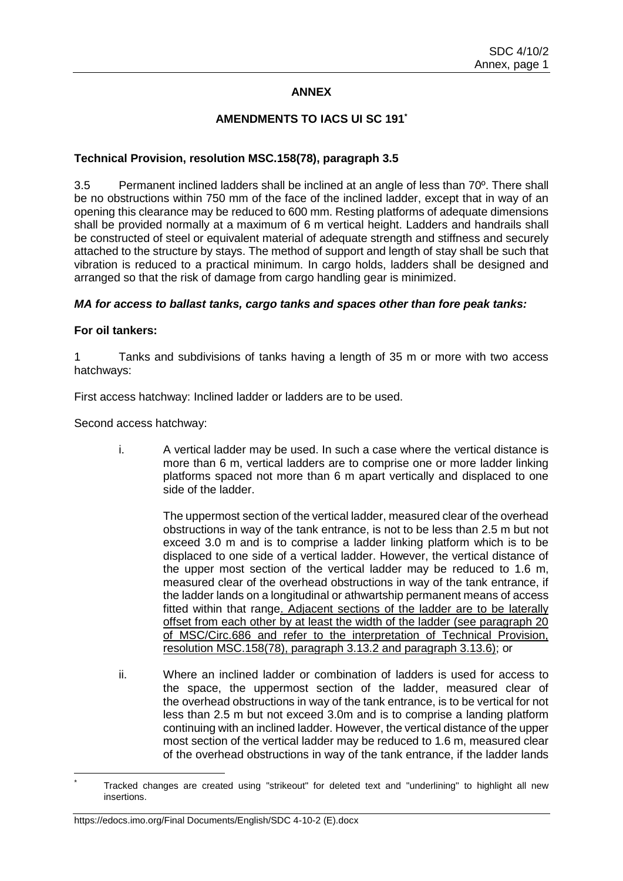## **ANNEX**

### **AMENDMENTS TO IACS UI SC 191\***

### **Technical Provision, resolution MSC.158(78), paragraph 3.5**

3.5 Permanent inclined ladders shall be inclined at an angle of less than 70º. There shall be no obstructions within 750 mm of the face of the inclined ladder, except that in way of an opening this clearance may be reduced to 600 mm. Resting platforms of adequate dimensions shall be provided normally at a maximum of 6 m vertical height. Ladders and handrails shall be constructed of steel or equivalent material of adequate strength and stiffness and securely attached to the structure by stays. The method of support and length of stay shall be such that vibration is reduced to a practical minimum. In cargo holds, ladders shall be designed and arranged so that the risk of damage from cargo handling gear is minimized.

#### *MA for access to ballast tanks, cargo tanks and spaces other than fore peak tanks:*

#### **For oil tankers:**

1 Tanks and subdivisions of tanks having a length of 35 m or more with two access hatchways:

First access hatchway: Inclined ladder or ladders are to be used.

Second access hatchway:

i. A vertical ladder may be used. In such a case where the vertical distance is more than 6 m, vertical ladders are to comprise one or more ladder linking platforms spaced not more than 6 m apart vertically and displaced to one side of the ladder.

> The uppermost section of the vertical ladder, measured clear of the overhead obstructions in way of the tank entrance, is not to be less than 2.5 m but not exceed 3.0 m and is to comprise a ladder linking platform which is to be displaced to one side of a vertical ladder. However, the vertical distance of the upper most section of the vertical ladder may be reduced to 1.6 m, measured clear of the overhead obstructions in way of the tank entrance, if the ladder lands on a longitudinal or athwartship permanent means of access fitted within that range. Adjacent sections of the ladder are to be laterally offset from each other by at least the width of the ladder (see paragraph 20 of MSC/Circ.686 and refer to the interpretation of Technical Provision, resolution MSC.158(78), paragraph 3.13.2 and paragraph 3.13.6); or

ii. Where an inclined ladder or combination of ladders is used for access to the space, the uppermost section of the ladder, measured clear of the overhead obstructions in way of the tank entrance, is to be vertical for not less than 2.5 m but not exceed 3.0m and is to comprise a landing platform continuing with an inclined ladder. However, the vertical distance of the upper most section of the vertical ladder may be reduced to 1.6 m, measured clear of the overhead obstructions in way of the tank entrance, if the ladder lands

Tracked changes are created using "strikeout" for deleted text and "underlining" to highlight all new insertions.